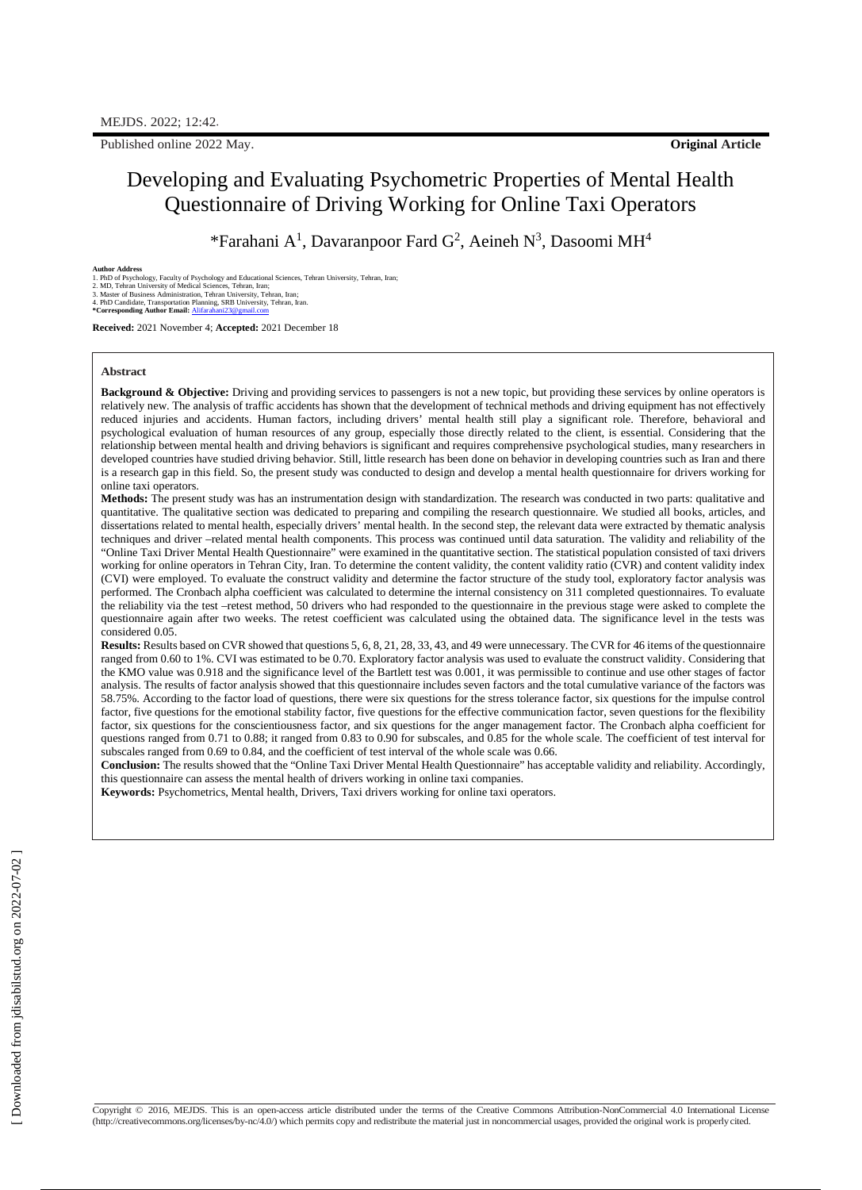Published online 2022 May. **Original Article**

## Developing and Evaluating Psychometric Properties of Mental Health Questionnaire of Driving Working for Online Taxi Operators

\*Farahani A<sup>1</sup>, Davaranpoor Fard G<sup>2</sup>, Aeineh N<sup>3</sup>, Dasoomi MH<sup>4</sup>

**Author Address**<br>2. Mult**or Address**<br>2. MD of Psychology, Faculty of Psychology and Educational Sciences, Tehran University, Tehran, Iran;<br>2. MD, Tehran University of Medical Sciences, Tehran, Iran;<br>3. Master of Business A

**Received:** 2021 November 4; **Accepted:** 2021 December 18

#### **Abstract**

**Background & Objective:** Driving and providing services to passengers is not a new topic, but providing these services by online operators is relatively new. The analysis of traffic accidents has shown that the development of technical methods and driving equipment has not effectively reduced injuries and accidents. Human factors, including drivers' mental health still play a significant role. Therefore, behavioral and psychological evaluation of human resources of any group, especially those directly related to the client, is essential. Considering that the relationship between mental health and driving behaviors is significant and requires comprehensive psychological studies, many researchers in developed countries have studied driving behavior. Still, little research has been done on behavior in developing countries such as Iran and there is a research gap in this field. So, the present study was conducted to design and develop a mental health questionnaire for drivers working for online taxi operators.

**Methods:** The present study was has an instrumentation design with standardization. The research was conducted in two parts: qualitative and quantitative. The qualitative section was dedicated to preparing and compiling the research questionnaire. We studied all books, articles, and dissertations related to mental health, especially drivers' mental health. In the second step, the relevant data were extracted by thematic analysis techniques and driver –related mental health components. This process was continued until data saturation. The validity and reliability of the "Online Taxi Driver Mental Health Questionnaire" were examined in the quantitative section. The statistical population consisted of taxi drivers working for online operators in Tehran City, Iran. To determine the content validity, the content validity ratio (CVR) and content validity index (CVI) were employed. To evaluate the construct validity and determine the factor structure of the study tool, exploratory factor analysis was performed. The Cronbach alpha coefficient was calculated to determine the internal consistency on 311 completed questionnaires. To evaluate the reliability via the test –retest method, 50 drivers who had responded to the questionnaire in the previous stage were asked to complete the questionnaire again after two weeks. The retest coefficient was calculated using the obtained data. The significance level in the tests was considered 0.05.

**Results:** Results based on CVR showed that questions 5, 6, 8, 21, 28, 33, 43, and 49 were unnecessary. The CVR for 46 items of the questionnaire ranged from 0.60 to 1%. CVI was estimated to be 0.70. Exploratory factor analysis was used to evaluate the construct validity. Considering that the KMO value was 0.918 and the significance level of the Bartlett test was 0.001, it was permissible to continue and use other stages of factor analysis. The results of factor analysis showed that this questionnaire includes seven factors and the total cumulative variance of the factors was 58.75%. According to the factor load of questions, there were six questions for the stress tolerance factor, six questions for the impulse control factor, five questions for the emotional stability factor, five questions for the effective communication factor, seven questions for the flexibility factor, six questions for the conscientiousness factor, and six questions for the anger management factor. The Cronbach alpha coefficient for questions ranged from 0.71 to 0.88; it ranged from 0.83 to 0.90 for subscales, and 0.85 for the whole scale. The coefficient of test interval for subscales ranged from 0.69 to 0.84, and the coefficient of test interval of the whole scale was 0.66.

**Conclusion:** The results showed that the "Online Taxi Driver Mental Health Questionnaire" has acceptable validity and reliability. Accordingly, this questionnaire can assess the mental health of drivers working in online taxi companies.

**Keywords:** Psychometrics, Mental health, Drivers, Taxi drivers working for online taxi operators.

Copyright © 2016, MEJDS. This is an open-access article distributed under the terms of the Creative Commons Attribution-NonCommercial 4.0 International License [\(http://creativecommons.org/licenses/by-nc/4.0/\)](http://creativecommons.org/licenses/by-nc/4.0/\)) which permits copy and redistribute the material just in noncommercial usages, provided the original work is properlycited.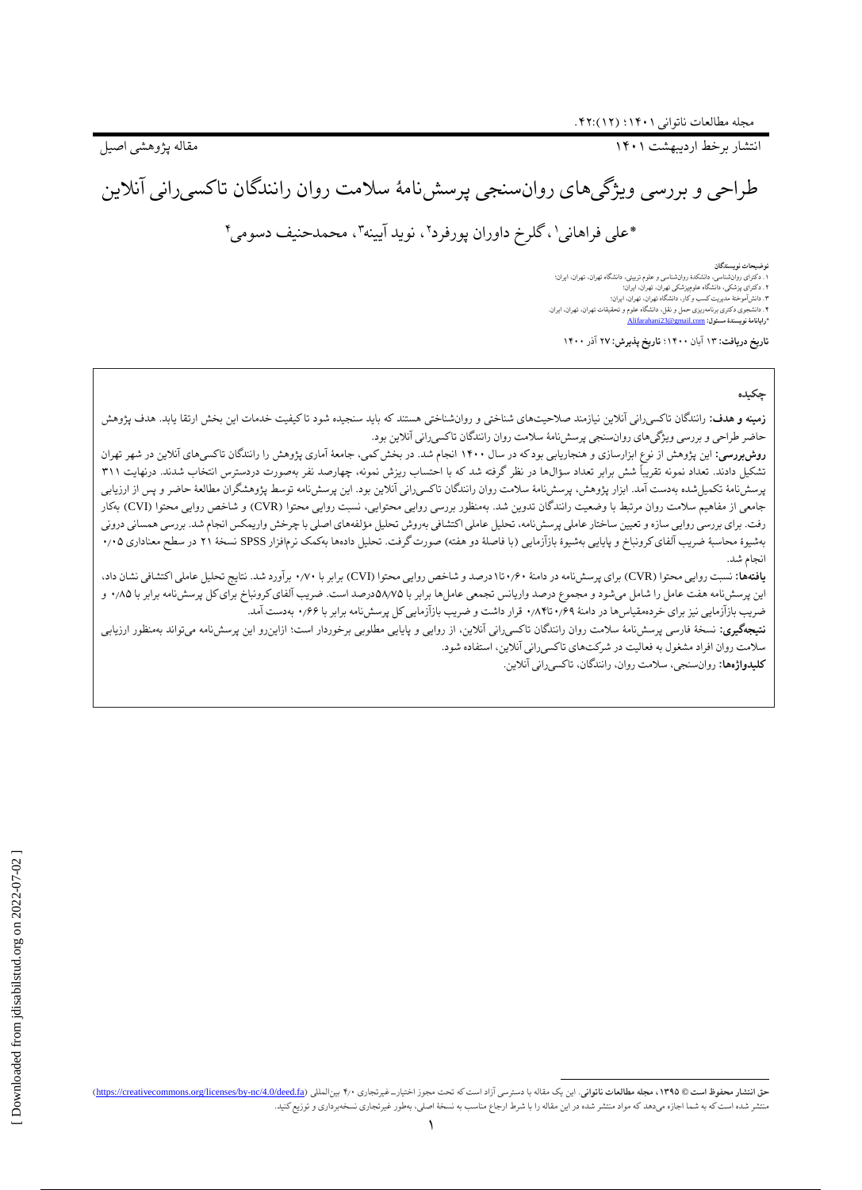انتشار برخط اردیبهشت 1۴۰1 مقاله پژوهشی اصیل

طراحی و بررسی ویژگیهای روانسنجی پرسشنامٔه سالمت روان رانندگان تاکسیرانی آنالین

1 \*علی فراهانی ۲ ، گلرخ داوران پورفرد ۴ ، محمدحنیف دسومی <sup>۳</sup> ، نوید آیینه

**توضیحات نویسندگان**

.1 دکترای روانشناسی، دانشکدٔه روانشناسی و علوم تربیتی، دانشگاه تهران، تهران، ایران؛ .۲ دکترای پزشکی، دانشگاه علومپزشکی تهران، تهران، ایران؛ .۳ دانشآموختٔه مدیریت کسب و کار، دانشگاه تهران، تهران، ایران؛ .۴ دانشجوی دکتری برنامهریزی حمل و نقل، دانشگاه علوم و تحقیقات تهران، تهران، ایران. **\*رایانامٔه نویسندٔه مسئول:** [com.gmail@23Alifarahani](mailto:Alifarahani23@gmail.com)

**تاریخ دریافت:** 1۳ آبان 1۴۰۰؛ **تاریخ پذیرش:** ۲**۷** آذر 1۴۰۰

#### **چکیده**

**زمینه و هدف:** رانندگان تاکسیرانی آنالین نیازمند صالحیتهای شناختی و روانشناختی هستند که باید سنجیده شود تا کیفیت خدمات این بخش ارتقا یابد. هدف پژوهش حاضر طراحی و بررسی ویژگیهای روانسنجی پرسشنامٔه سالمت روان رانندگان تاکسیرانی آنالین بود.

**روشبررسی:** این پژوهش از نوع ابزارسازی و هنجاریابی بود که در سال ۱۴۰۰ انجام شد. در بخش کمی، جامعهٔ آماری پژوهش را رانندگان تاکسیهای آنلاین در شهر تهران تشکیل دادند. تعداد نمونه تقریباً شش برابر تعداد سؤالها در نظر گرفته شد که با احتساب ریزش نمونه، چهارصد نفر بهصورت دردسترس انتخاب شدند. درنهایت ۳11 پرسشنامهٔ تکمیلشده بهدست آمد. ابزار پژوهش، پرسشنامهٔ سلامت روان رانندگان تاکسیرانی آنلاین بود. این پرسشنامه توسط پژوهشگران مطالعهٔ حاضر و پس از ارزیابی جامعی از مفاهیم سلامت روان مرتبط با وضعیت رانندگان تدوین شد. بهمنظور بررسی روایی محتوایی، نسبت روایی محتوا (CVI )بهکار )بهکار رفت. برای بررسی روایی سازه و تعیین ساختار عاملی پرسشنامه، تحلیل عاشی مؤلفه می اصلی با چرخش واریمکس انجام شد. بررسی همسانی درونی بهشیوهٔ محاسبهٔ ضریب آلفای کرونباخ و پایایی بهشیوهٔ بازآزمایی (با فاصلهٔ دو هفته) صورت گرفت. تحلیل دادهها بهکمک نرمافزار SPSS نسخهٔ ۲۱ در سطح معناداری ۰٫۰۵ انجام شد.

**یافتهها:** نسبت روایی محتوا )CVR )برای پرسشنامه در دامنٔه ۰٫۶۰تا1درصد و شاخص روایی محتوا )CVI )برابر با ۰٫۷۰ برآورد شد. نتایج تحلیل عاملی اکتشافی نشان داد، این پرسشنامه هفت عامل را شامل میشود و مجموع درصد واریانس تجمعی عاملها برابر با ۵۸٫۷۵درصد است. ضریب آلفای کرونباخ برای کل پرسشنامه برابر با ۰٫۸۵ و ضریب بازآزمایی نیز برای خردهمقیاسها در دامنٔه ۰٫۶۹تا۰٫۸۴ قرار داشت و ضریب بازآزمایی کل پرسشنامه برابر با ۰٫۶۶ بهدست آمد.

**نتیجهگیری:** نسخٔه فارسی پرسشنامٔه سالمت روان رانندگان تاکسیرانی آنالین، از روایی و پایایی مطلوبی برخوردار است؛ ازاینرو این پرسشنامه میتواند بهمنظور ارزیابی سالمت روان افراد مشغول به فعالیت در شرکتهای تاکسیرانی آنالین، استفاده شود.

**کلیدواژهها:** روانسنجی، سالمت روان، رانندگان، تاکسیرانی آنالین.

حق انتشار محفوظ است @ ١٣٩٥، مجله مطالعات ناتواني. اين يك مقاله با دسترسي آزاد است كه تحت مجوز اختيارت غيرتجاري ٢٠٠ بينالمللي (https://creativecommons.org/licenses/by-nc/4.0/deed.fa) بهجله مطالعات ناتواني. اين دعت ماله با منتشر شده استکه به شما اجازه میدهد که مواد منتشر شده در این مقاله را با شرط ارجاع مناسب به نسخٔه اصلی، بهطور غیرتجاری نسخهبرداری و توزیعکنید.

 $\overline{a}$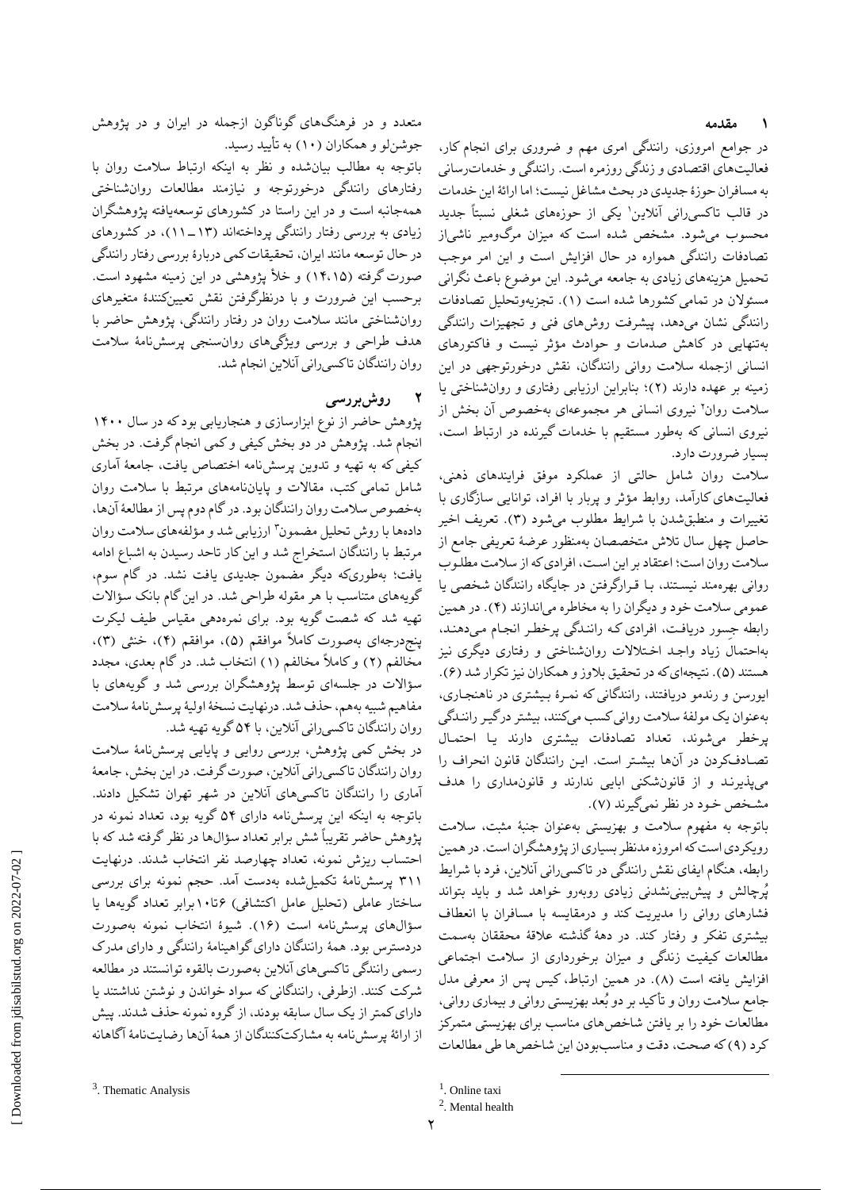#### **۱ مقدمه**

در جوامع امروزی، رانندگی امری مهم و ضروری برای انجام کار، فعالیتهای اقتصادی و زندگی روزمره است. رانندگی و خدماترسانی به مسافران حوزٔه جدیدی در بحث مشاغل نیست؛ اما ارائٔه این خدمات در قالب تاکسی٫رانی آنلاین' یکی از حوزههای شغلی نسبتاً جدید محسوب میشود. مشخص شده است که میزان مرگومیر ناشیاز تصادفات رانندگی همواره در حال افزایش است و این امر موجب تحمیل هزینههای زیادی به جامعه میشود. این موضوع باعث نگرانی مسئوالن در تمامی کشورها شده است )1(. تجزیهوتحلیل تصادفات رانندگی نشان میدهد، پیشرفت روشهاى فنى و تجهیزات رانندگی بهتنهایی در کاهش صدمات و حوادث مؤثر نیست و فاکتورهاى انسانى ازجمله سالمت روانى رانندگان، نقش درخورتوجهی در این زمینه بر عهده دارند )۲(؛ بنابراین ارزیابی رفتاری و روانشناختی یا سلامت روان<sup>۲</sup> نیروی انسانی هر مجموعهای بهخصوص آن بخش از نیروی انسانی که بهطور مستقیم با خدمات گیرنده در ارتباط است، بسیار ضرورت دارد.

سالمت روان شامل حالتی از عملکرد موفق فرایندهای ذهنی، فعالیتهای کارآمد، روابط مؤثر و پربار با افراد، توانایی سازگاری با تغییرات و منطبقشدن با شرایط مطلوب میشود )۳(. تعریف اخیر حاصل چهل سال تالش متخصصان بهمنظور عرضٔه تعریفی جامع از سالمت روان است؛ اعتقاد بر این اسـت، افرادی که از سالمت مطلـوب روانی بهرهمند نیسـتند، بـا قـرارگرفتن در جایگاه رانندگان شخصی یا عمومی سالمت خود و دیگران را به مخاطره میاندازند )۴(. در همین رابطه جسور دریافت، افرادی کـه راننـدگی پرخطـر انجـام مـیدهنـد، بهاحتمال زیاد واجـد اخـتالالت روانشناختی و رفتاری دیگری نیز هستند (۵). نتیجهای که در تحقیق بلاوز و همکاران نیز تکرار شد (۶). ایورسن و رندمو دریافتند، رانندگانی که نمـرٔه بـیشتری در ناهنجـاری، بهعنوان یک مولفٔه سالمت روانی کسب میکنند، بیشتر درگیـر راننـدگی پرخطر میشوند، تعداد تصادفات بیشتری دارند یـا احتمـال تصـادفکردن در آنها بیشـتر است. ایـن رانندگان قانون انحراف را میپذیرنـد و از قانونشکنی ابایی ندارند و قانونمداری را هدف مشـخص خـود در نظر نمیگیرند )۷(.

باتوجه به مفهوم سالمت و بهزیستی بهعنوان جنبٔه مثبت، سالمت رویکردی است که امروزه مدنظر بسیاری از پژوهشگران است. در همین رابطه، هنگام ایفای نقش رانندگی در تاکسیرانی آنالین، فرد با شرایط پُرچالش و پیشبینینشدنی زیادی روبهرو خواهد شد و باید بتواند فشارهای روانی را مدیریت کند و درمقایسه با مسافران با انعطاف بیشتری تفکر و رفتار کند. در دهٔه گذشته عالقٔه محققان بهسمت مطالعات کیفیت زندگی و میزان برخورداری از سالمت اجتماعی افزایش یافته است )۸(. در همین ارتباط، کیس پس از معرفی مدل جامع سالمت روان و تأکید بر دو بُعد بهزیستی روانی و بیماری روانی، مطالعات خود را بر یافتن شاخصهای مناسب برای بهزیستی متمرکز کرد )۹( که صحت، دقت و مناسببودن این شاخصها طی مطالعات

 $\overline{a}$ 

متعدد و در فرهنگهای گوناگون ازجمله در ایران و در پژوهش جوشنلو و همکاران )1۰( به تأیید رسید.

باتوجه به مطالب بیانشده و نظر به اینکه ارتباط سالمت روان با رفتارهای رانندگی درخورتوجه و نیازمند مطالعات روانشناختی همهجانبه است و در این راستا در کشورهای توسعهیافته پژوهشگران زیادی به بررسی رفتار رانندگی پرداختهاند )11-1۳(، در کشورهای در حال توسعه مانند ایران، تحقیقات کمی دربارٔه بررسی رفتار رانندگی صورت گرفته )1۴،1۵( و خأل پژوهشی در این زمینه مشهود است. برحسب این ضرورت و با درنظرگرفتن نقش تعیینکنندٔه متغیرهای روانشناختی مانند سالمت روان در رفتار رانندگی، پژوهش حاضر با هدف طراحی و بررسی ویژگیهای روانسنجی پرسشنامٔه سالمت روان رانندگان تاکسیرانی آنالین انجام شد.

## **2 روشبررسی**

پژوهش حاضر از نوع ابزارسازی و هنجاریابی بود که در سال 1۴۰۰ انجام شد. پژوهش در دو بخش کیفی و کمی انجام گرفت. در بخش کیفی که به تهیه و تدوین پرسشنامه اختصاص یافت، جامعٔه آماری شامل تمامی کتب، مقاالت و پایاننامههای مرتبط با سالمت روان بهخصوص سالمت روان رانندگان بود. در گام دوم پس از مطالعٔه آنها، دادهها با روش تحلیل مضمون ؓ ارزیابی شد و مؤلفههای سلامت روان مرتبط با رانندگان استخراج شد و این کار تاحد رسیدن به اشباع ادامه یافت؛ بهطوریکه دیگر مضمون جدیدی یافت نشد. در گام سوم، گویههای متناسب با هر مقوله طراحی شد. در این گام بانک سؤاالت تهیه شد که شصت گویه بود. برای نمرهدهی مقیاس طیف لیکرت پنجدرجهای بهصورت کاملاً موافقم (۵)، موافقم (۴)، خنثی (۳)، مخالفم )۲( و کامالا مخالفم )1( انتخاب شد. در گام بعدی، مجدد سؤاالت در جلسهای توسط پژوهشگران بررسی شد و گویههای با مفاهیم شبیه بههم، حذف شد.درنهایت نسخٔه اولیٔه پرسشنامٔه سالمت روان رانندگان تاکسیرانی آنالین، با ۵۴گویه تهیه شد.

در بخش کمی پژوهش، بررسی روایی و پایایی پرسشنامٔه سالمت روان رانندگان تاکسیرانی آنالین، صورتگرفت. در این بخش، جامعٔه آماری را رانندگان تاکسیهای آنالین در شهر تهران تشکیل دادند. باتوجه به اینکه این پرسشنامه دارای ۵۴ گویه بود، تعداد نمونه در پژوهش حاضر تقریباً شش برابر تعداد سؤالها در نظر گرفته شد که با احتساب ریزش نمونه، تعداد چهارصد نفر انتخاب شدند. درنهایت ۳11 پرسشنامٔه تکمیلشده بهدست آمد. حجم نمونه برای بررسی ساختار عاملی (تحلیل عامل اکتشافی) ۱۰تا۱۰برابر تعداد گویهها یا سؤالهای پرسشنامه است )1۶(. شیؤه انتخاب نمونه بهصورت دردسترس بود. همٔه رانندگان دارای گواهینامٔه رانندگی و دارای مدرک رسمی رانندگی تاکسیهای آنالین بهصورت بالقوه توانستند در مطالعه شرکت کنند. ازطرفی، رانندگانی که سواد خواندن و نوشتن نداشتند یا دارای کمتر از یک سال سابقه بودند، از گروه نمونه حذف شدند. پیش از ارائٔه پرسشنامه به مشارکتکنندگان از همٔه آنها رضایتنامٔه آگاهانه

<sup>&</sup>lt;sup>3</sup>. Thematic Analysis

<sup>&</sup>lt;sup>1</sup>. Online taxi

<sup>2</sup> . Mental health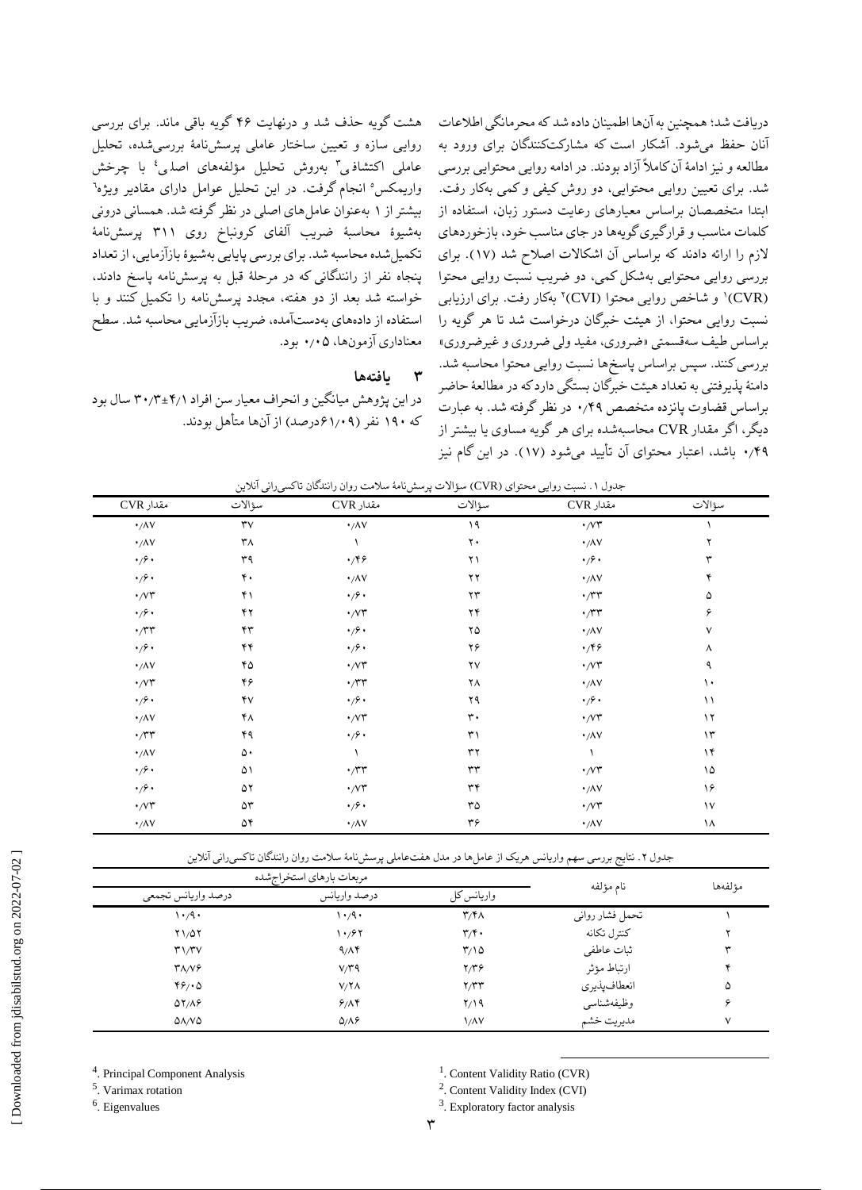دریافت شد؛ همچنین به آنها اطمینان داده شد که محرمانگی اطالعات آنان حفظ میشود. آشکار است که مشارکتکنندگان برای ورود به مطالعه و نیز ادامٔه آن کامالا آزاد بودند. در ادامه روایی محتوایی بررسی شد. برای تعیین روایی محتوایی، دو روش کیفی و کمی بهکار رفت. ابتدا متخصصان براساس معیارهای رعایت دستور زبان، استفاده از کلمات مناسب و قرارگیری گویهها در جای مناسب خود، بازخوردهای الزم را ارائه دادند که براساس آن اشکاالت اصالح شد )1۷(. برای بررسی روایی محتوایی بهشکل کمی، دو ضریب نسبت روایی محتوا (CVR)' و شاخص روایی محتوا (CVI)۲ بهکار رفت. برای ارزیابی نسبت روایی محتوا، از هیئت خبرگان درخواست شد تا هر گویه را براساس طیف سهقسمتی »ضروری، مفید ولی ضروری و غیرضروری« بررسی کنند. سپس براساس پاسخها نسبت روایی محتوا محاسبه شد. دامنٔه پذیرفتنی به تعداد هیئت خبرگان بستگی دارد که در مطالعٔه حاضر براساس قضاوت پانزده متخصص ۰٫۴۹ در نظر گرفته شد. به عبارت دیگر، اگر مقدار CVR محاسبهشده برای هر گویه مساوی یا بیشتر از ۰٫۴۹ باشد، اعتبار محتوای آن تأیید میشود )1۷(. در این گام نیز

سؤاالت مقدار CVR سؤاالت مقدار CVR سؤاالت مقدار CVR ۰٫۸۷ ۳۷ ۰٫۸۷ 1۹ ۰٫۷۳ 1 ۰٫۸۷ ۳۸ 1 ۲۰ ۰٫۸۷ ۲ ۰٫۶۰ ۳۹ ۰٫۴۶ ۲1 ۰٫۶۰ ۳ ۰٫۶۰ ۴۰ ۰٫۸۷ ۲۲ ۰٫۸۷ ۴ ۰٫۷۳ ۴1 ۰٫۶۰ ۲۳ ۰٫۳۳ ۵ ۰٫۶۰ ۴۲ ۰٫۷۳ ۲۴ ۰٫۳۳ ۶ ۰٫۳۳ ۴۳ ۰٫۶۰ ۲۵ ۰٫۸۷ ۷ ۰٫۶۰ ۴۴ ۰٫۶۰ ۲۶ ۰٫۴۶ ۸ ۰٫۸۷ ۴۵ ۰٫۷۳ ۲۷ ۰٫۷۳ ۹ ۰٫۷۳ ۴۶ ۰٫۳۳ ۲۸ ۰٫۸۷ 1۰ ۰٫۶۰ ۴۷ ۰٫۶۰ ۲۹ ۰٫۶۰ 11 ۰٫۸۷ ۴۸ ۰٫۷۳ ۳۰ ۰٫۷۳ 1۲ ۰٫۳۳ ۴۹ ۰٫۶۰ ۳1 ۰٫۸۷ 1۳ ۰٫۸۷ ۵۰ 1 ۳۲ 1 1۴ ۰٫۶۰ ۵1 ۰٫۳۳ ۳۳ ۰٫۷۳ 1۵ ۰٫۶۰ ۵۲ ۰٫۷۳ ۳۴ ۰٫۸۷ 1۶ ۰٫۷۳ ۵۳ ۰٫۶۰ ۳۵ ۰٫۷۳ 1۷ ۰٫۸۷ ۵۴ ۰٫۸۷ ۳۶ ۰٫۸۷ 1۸

|  |  | جدول ۱. نسبت روایی محتوای (CVR) سؤالات پرسشiامهٔ سلامت روان رانندگان تاکسیرانی آنلاین |  |  |  |  |
|--|--|---------------------------------------------------------------------------------------|--|--|--|--|
|--|--|---------------------------------------------------------------------------------------|--|--|--|--|

جدول ۲. نتایج بررسی سهم واریانس هریک از عاملها در مدل هفتءاملی پرسشنامهٔ سلامت روان رانندگان تاکسیرانی آنلاین

| مربعات بارهاي استخراجشده                        | نام مؤلفه               | مؤلفهها                   |                 |   |
|-------------------------------------------------|-------------------------|---------------------------|-----------------|---|
| درصد واريانس تجمعي                              | درصد واريانس            |                           |                 |   |
| $\cdot$ /9 $\cdot$                              | $\cdot$ $\cdot$ $\cdot$ | $\mathbf{r}/\mathbf{r}$   | تحمل فشار رواني |   |
| $Y1/\Delta Y$                                   | ۱۰٬۶۲                   | $\mathbf{r}/\mathbf{r}$ . | كنترل تكانه     |   |
| $\mathbf{r} \mathbf{1} / \mathbf{r} \mathbf{V}$ | 9/19                    | $\frac{9}{2}$             | ثبات عاطفي      |   |
| $Y\Lambda/V$ ۶                                  | V/T9                    | ۲/۳۶                      | ارتباط مؤثر     |   |
| 49/0                                            | $V/\Upsilon\Lambda$     | Y/YY                      | انعطاف يذيري    | ۵ |
| $\Delta Y/\Delta P$                             | 9/19                    | ۲/۱۹                      | وظيفهشناسي      |   |
| $\Delta\Lambda/V\Delta$                         | $Q/\Lambda$ ۶           | <b>\/AV</b>               | مديريت خشم      | ٧ |

4 . Principal Component Analysis

5 . Varimax rotation

<sup>6</sup>. Eigenvalues

<sup>1</sup>. Content Validity Ratio (CVR)

 $\overline{a}$ 

2 . Content Validity Index (CVI)

<sup>3</sup>. Exploratory factor analysis

هشت گویه حذف شد و درنهایت ۴۶ گویه باقی ماند. برای بررسی روایی سازه و تعیین ساختار عاملی پرسشنامٔه بررسیشده، تحلیل عاملی اکتشاف<sub>ی</sub>۳ بەروش تحلیل مؤلفەهای اصل<sub>ع</sub>،ٔ با چرخش 5 واریمکس انجام گرفت. در این تحلیل عوامل دارای مقادیر ویژه 6 بیشتر از 1 بهعنوان عاملهای اصلی در نظر گرفته شد. همسانی درونی بهشیؤه محاسبٔه ضریب آلفای کرونباخ روی ۳11 پرسشنامٔه تکمیلشده محاسبه شد. برای بررسی پایایی بهشیؤه بازآزمایی، از تعداد پنجاه نفر از رانندگانی که در مرحلٔه قبل به پرسشنامه پاسخ دادند، خواسته شد بعد از دو هفته، مجدد پرسشنامه را تکمیل کنند و با استفاده از دادههای بهدستآمده، ضریب بازآزمایی محاسبه شد. سطح معناداری آزمونها، ۰٫۰۵ بود.

#### **۳ یافتهها**

در این پژوهش میانگین و انحراف معیار سن افراد ۳۰٫۳±۴٫1 سال بود که 1۹۰ نفر )۶1٫۰۹درصد( از آنها متأهل بودند.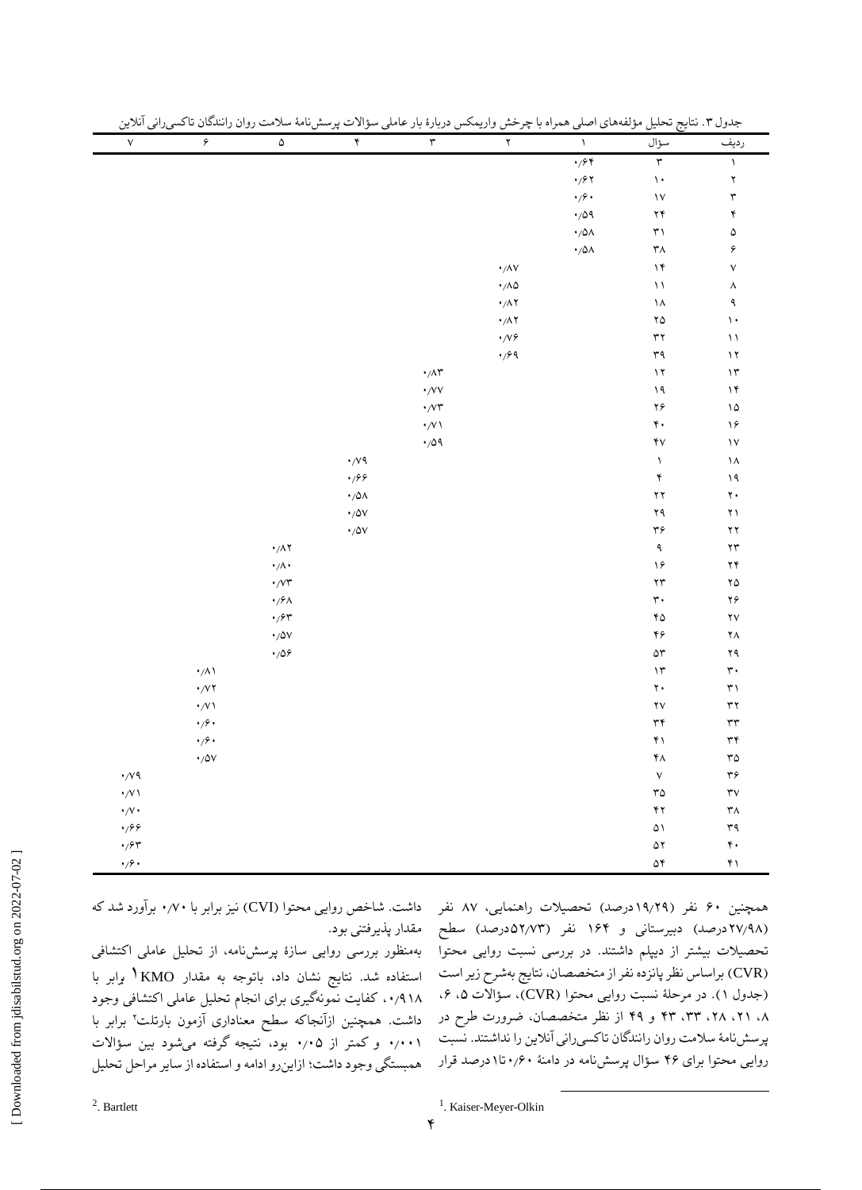| $\mathsf{V}$                                          | ۶                                           | $\pmb{\Delta}$                                                                                                                                                                                          | ۴                                   | $\mathbf{\breve{r}}$                  | $\Upsilon$                                              | $\Lambda$                                                           | سؤال                               | رديف                       |
|-------------------------------------------------------|---------------------------------------------|---------------------------------------------------------------------------------------------------------------------------------------------------------------------------------------------------------|-------------------------------------|---------------------------------------|---------------------------------------------------------|---------------------------------------------------------------------|------------------------------------|----------------------------|
|                                                       |                                             |                                                                                                                                                                                                         |                                     |                                       |                                                         | $\cdot$ /۶۴                                                         | $\mathbf{r}$                       | $\bar{\mathcal{E}}$        |
|                                                       |                                             |                                                                                                                                                                                                         |                                     |                                       |                                                         | $\cdot$ / $\hspace{-1.5mm}$ / $\hspace{-1.5mm}$ / $\hspace{-1.5mm}$ | $\backslash$ .                     | $\mathbf Y$                |
|                                                       |                                             |                                                                                                                                                                                                         |                                     |                                       |                                                         | $\cdot$ mathscr{S} .                                                | $\backslash\mathsf{V}$             | $\mathbf{\breve{r}}$       |
|                                                       |                                             |                                                                                                                                                                                                         |                                     |                                       |                                                         | $\cdot$ 109                                                         | $\mathbf{Y}\mathbf{Y}$             | ۴                          |
|                                                       |                                             |                                                                                                                                                                                                         |                                     |                                       |                                                         | $\cdot/\Delta\Lambda$                                               | $\mathsf{r}\, \mathsf{v}$          | ۵                          |
|                                                       |                                             |                                                                                                                                                                                                         |                                     |                                       |                                                         | $\cdot/\Delta\Lambda$                                               | ۳۸                                 | ۶                          |
|                                                       |                                             |                                                                                                                                                                                                         |                                     |                                       | $\boldsymbol{\cdot} / \Lambda \mathrm{V}$               |                                                                     | $\backslash \mathfrak{k}$          | $\mathsf{V}$               |
|                                                       |                                             |                                                                                                                                                                                                         |                                     |                                       | $\cdot/\Lambda\Delta$                                   |                                                                     | $\bar{~}$                          | ٨                          |
|                                                       |                                             |                                                                                                                                                                                                         |                                     |                                       | $\cdot/\Lambda\Upsilon$                                 |                                                                     | $\backslash\Lambda$                | ٩                          |
|                                                       |                                             |                                                                                                                                                                                                         |                                     |                                       | $\boldsymbol{\cdot} / \Lambda \, \boldsymbol{\Upsilon}$ |                                                                     | ۲۵                                 | $\backslash$ .             |
|                                                       |                                             |                                                                                                                                                                                                         |                                     |                                       | $\cdot$ /V۶                                             |                                                                     | $\mathbf{\tilde{y}}$               | $\bar{~}$                  |
|                                                       |                                             |                                                                                                                                                                                                         |                                     |                                       | $\cdot$ /۶۹                                             |                                                                     | ٣٩                                 | $\mathcal{N}$              |
|                                                       |                                             |                                                                                                                                                                                                         |                                     | $\cdot/\wedge\hspace{-0.6em}\uparrow$ |                                                         |                                                                     | $\mathcal{N}$                      | $\mathcal{N}$              |
|                                                       |                                             |                                                                                                                                                                                                         |                                     | $\boldsymbol{\cdot}$ /VV              |                                                         |                                                                     | $\backslash$ q                     | $\backslash \mathfrak{k}$  |
|                                                       |                                             |                                                                                                                                                                                                         |                                     | $\cdot$ /<br>V٣                       |                                                         |                                                                     | ۲۶ $\,$                            | ۱۵                         |
|                                                       |                                             |                                                                                                                                                                                                         |                                     | $\cdot/\!\!\vee\!\!\vee$              |                                                         |                                                                     | $\mathfrak{r}$ .                   | ۱۶                         |
|                                                       |                                             |                                                                                                                                                                                                         |                                     | $\cdot$ /09                           |                                                         |                                                                     | $\mathbf{\widetilde{y}}\mathbf{V}$ | $\mathsf{V}$               |
|                                                       |                                             |                                                                                                                                                                                                         | $\cdot$ /v ٩                        |                                       |                                                         |                                                                     | $\Lambda$                          | ۱۸                         |
|                                                       |                                             |                                                                                                                                                                                                         | $\cdot$ 199                         |                                       |                                                         |                                                                     | $\mathbf{\acute{r}}$               | $\backslash$ q             |
|                                                       |                                             |                                                                                                                                                                                                         | $\boldsymbol{\cdot}$ /0 $\!\Lambda$ |                                       |                                                         |                                                                     | $\mathbf{Y} \, \mathbf{Y}$         | $\mathbf{\bar{y}}$ .       |
|                                                       |                                             |                                                                                                                                                                                                         | $\boldsymbol{\cdot}$ /0V            |                                       |                                                         |                                                                     | ۲۹                                 | ۲١ $\,$                    |
|                                                       |                                             |                                                                                                                                                                                                         | $\boldsymbol{\cdot}$ /0V            |                                       |                                                         |                                                                     | $\mathbf{r} \mathbf{\varphi}$      | $\mathbf{Y}\, \mathbf{Y}$  |
|                                                       |                                             | $\cdot/\Lambda$ ۲                                                                                                                                                                                       |                                     |                                       |                                                         |                                                                     | $\mathbf{\mathsf{q}}$              | $\mathbf{y}$               |
|                                                       |                                             | $\cdot/\wedge\cdot$                                                                                                                                                                                     |                                     |                                       |                                                         |                                                                     | $\backslash \mathcal{S}$           | $\mathbf{Y}\mathbf{Y}$     |
|                                                       |                                             | $\cdot$ /v۳                                                                                                                                                                                             |                                     |                                       |                                                         |                                                                     | $\gamma\gamma$                     | $\mathbf{Y} \mathbf{O}$    |
|                                                       |                                             | $\boldsymbol{\cdot}$ /> $\wedge$                                                                                                                                                                        |                                     |                                       |                                                         |                                                                     | $\mathbf{\dot{r}}$ .               | ۲۶ $\!$                    |
|                                                       |                                             | $\cdot$ / $\hspace{-1.5mm}\raisebox{0.3mm}{\text{-}}\,$ / $\hspace{-1.5mm}\raisebox{0.3mm}{\text{-}}\,$ / $\hspace{-1.5mm}\raisebox{0.3mm}{\text{-}}\,$ / $\hspace{-1.5mm}\raisebox{0.3mm}{\text{-}}\,$ |                                     |                                       |                                                         |                                                                     | $\mathbf{Y} \mathbf{O}$            | $\mathsf{Y}\mathsf{V}$     |
|                                                       |                                             | $\boldsymbol{\cdot}$ /0V                                                                                                                                                                                |                                     |                                       |                                                         |                                                                     | ۴۶                                 | ۲Λ                         |
|                                                       |                                             | $\cdot$ 108                                                                                                                                                                                             |                                     |                                       |                                                         |                                                                     | $\Delta \Upsilon$                  | $\gamma$ ۹                 |
|                                                       | $\boldsymbol{\cdot} /\Lambda$ \             |                                                                                                                                                                                                         |                                     |                                       |                                                         |                                                                     | $\mathcal{N}$                      | $\mathbf{\dot{r}}$ .       |
|                                                       |                                             |                                                                                                                                                                                                         |                                     |                                       |                                                         |                                                                     | $\mathbf{y}$ .                     | $\uparrow\uparrow$         |
|                                                       | $\cdot$ /V \                                |                                                                                                                                                                                                         |                                     |                                       |                                                         |                                                                     | $\mathbf{Y} \mathbf{V}$            | $\mathbf{y}$               |
|                                                       | $\boldsymbol{\cdot}$ / $\boldsymbol{\cdot}$ |                                                                                                                                                                                                         |                                     |                                       |                                                         |                                                                     | $\mathbf{\tilde{r}}$               | $\mathsf{r}\mathsf{r}$     |
|                                                       | $\cdot$ / $\circ$ $\cdot$                   |                                                                                                                                                                                                         |                                     |                                       |                                                         |                                                                     | $\mathfrak{f}\wr$                  | $\mathbf{r} \mathbf{r}$    |
|                                                       | $\boldsymbol{\cdot}$ /0V                    |                                                                                                                                                                                                         |                                     |                                       |                                                         |                                                                     | $\mathfrak k\Lambda$               | $\mathbf{r}\mathbf{o}$     |
| $\cdot$ /v ٩                                          |                                             |                                                                                                                                                                                                         |                                     |                                       |                                                         |                                                                     | $\mathsf{V}$                       | $\mathbf{r} \mathbf{s}$    |
| $\cdot/\!\!\vee\!\wr$                                 |                                             |                                                                                                                                                                                                         |                                     |                                       |                                                         |                                                                     | $\mathbf{r}\mathbf{o}$             | $\mathsf{r}\mathsf{v}$     |
| $\cdot/\vee\cdot$                                     |                                             |                                                                                                                                                                                                         |                                     |                                       |                                                         |                                                                     | $\mathbf{y}$                       | $\mathsf{r}_\Lambda$       |
| $\cdot$ 199                                           |                                             |                                                                                                                                                                                                         |                                     |                                       |                                                         |                                                                     | ۵۱                                 | $\uparrow\uparrow\uparrow$ |
| $\cdot$ / $\hspace{-1.5mm}\raisebox{0.3mm}{\text{-}}$ |                                             |                                                                                                                                                                                                         |                                     |                                       |                                                         |                                                                     | ۵۲                                 | $\mathfrak{r}$ .           |
| $\cdot$ / $\circ$ $\cdot$                             |                                             |                                                                                                                                                                                                         |                                     |                                       |                                                         |                                                                     | ۵۴                                 | $\mathfrak{f}\wr$          |

جدول ۳. نتایج تحلیل مؤلفههای اصلی همراه با چرخش واریمکس دربارهٔ بار عامله سؤالات پرسش نامهٔ سلامت روان رانندگان تاکسی دانی آنلاین

استفاده شد. نتایج نشان داد، باتوجه به مقدار KMO1 برابر با ،۰٫۹1۸ کفایت نمونهگیری برای انجام تحلیل عاملی اکتشافی وجود ۲ داشت. همچنین ازآنجاکه سطح معناداری آزمون بارتلت برابر با ۰٫۰۰1 و کمتر از ۰٫۰۵ بود، نتیجه گرفته میشود بین سؤاالت همبستگی وجود داشت؛ ازاینرو ادامه و استفاده از سایر مراحل تحلیل

همچنین ۶۰ نفر (۱۹٫۲۹درصد) تحصیلات راهنمایی، ۸۷ نفر داشت. شاخص روایی محتوا (CVI) نیز برابر با ۰٫۷۰ برآورد شد که (۲۷٬۹۸ درصد) دبیرستانی و ۱۶۴ نفر (۵۲٬۷۳مدرصد) سطح ً مقدار پذیرفتنی بود. تحصیلات بیشتر از دیپلم داشتند. در بررسی نسبت روایی محتوا ً بهمنظور بررسی روایی سازهٔ پرسشنامه، از تحلیل عاملی اکتشافی )CVR )براساس نظر پانزده نفر از متخصصان، نتایج بهشرح زیر است )جدول 1(. در مرحلٔه نسبت روایی محتوا )CVR)، سؤاالت ،۵ ،۶ ،۸ ،۲1 ،۲۸ ،۳۳ ۴۳ و ۴۹ از نظر متخصصان، ضرورت طرح در پرسشنامٔه سالمت روان رانندگان تاکسیرانی آنالین را نداشتند. نسبت روایی محتوا برای ۴۶ سؤال پرسشنامه در دامنٔه ۰٫۶۰تا1درصد قرار

 $\overline{a}$ 

<sup>1</sup>. Kaiser-Meyer-Olkin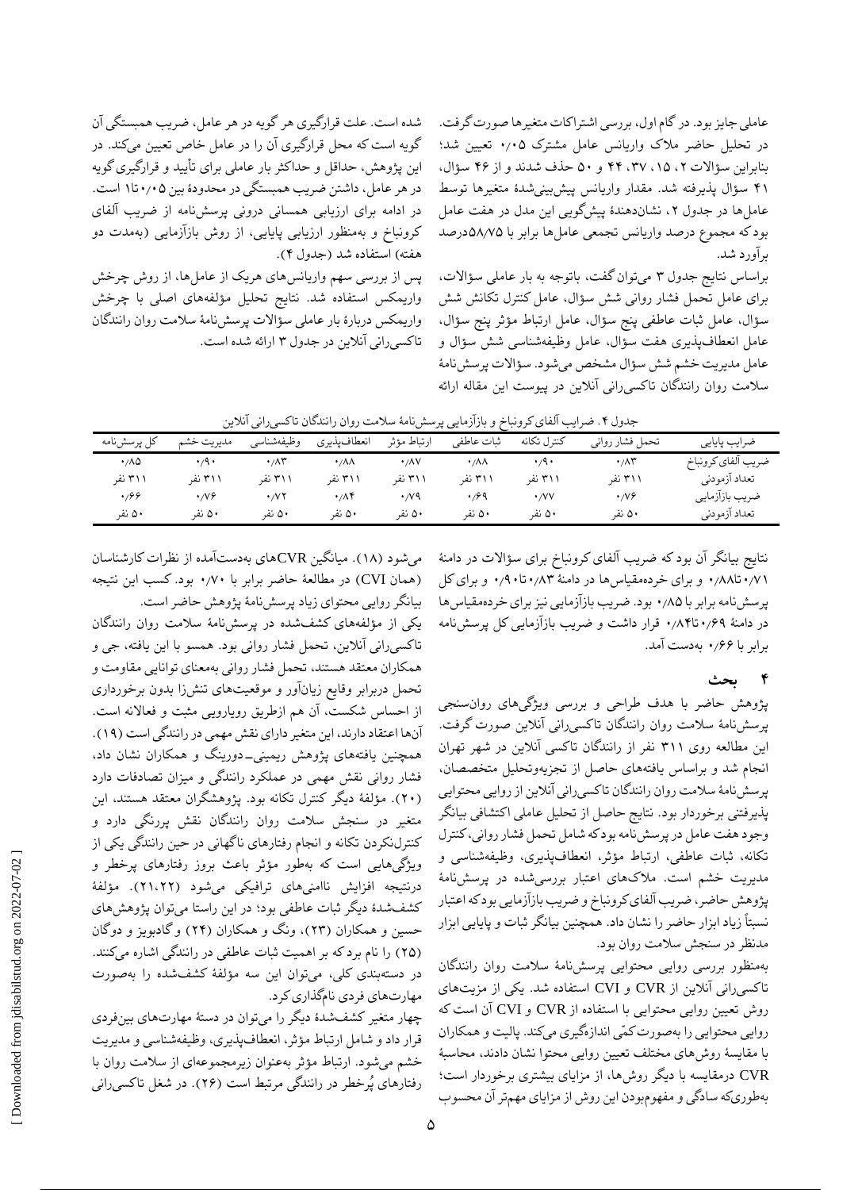عاملی جایز بود. در گام اول، بررسی اشتراکات متغیرها صورت گرفت. در تحلیل حاضر مالک واریانس عامل مشترک ۰٫۰۵ تعیین شد؛ بنابراین سؤاالت ،۲ ،1۵ ،۳۷ ۴۴ و ۵۰ حذف شدند و از ۴۶ سؤال، ۴1 سؤال پذیرفته شد. مقدار واریانس پیشبینیشدٔه متغیرها توسط عاملها در جدول ،۲ نشاندهندٔه پیشگویی این مدل در هفت عامل بود که مجموع درصد واریانس تجمعی عاملها برابر با ۵۸٫۷۵درصد برآورد شد.

براساس نتایج جدول ۳ میتوان گفت، باتوجه به بار عاملی سؤاالت، برای عامل تحمل فشار روانی شش سؤال، عامل کنترل تکانش شش سؤال، عامل ثبات عاطفی پنج سؤال، عامل ارتباط مؤثر پنج سؤال، عامل انعطافپذیری هفت سؤال، عامل وظیفهشناسی شش سؤال و عامل مدیریت خشم شش سؤال مشخص میشود. سؤاالت پرسشنامٔه سالمت روان رانندگان تاکسیرانی آنالین در پیوست این مقاله ارائه

شده است. علت قرارگیری هر گویه در هر عامل، ضریب همبستگی آن گویه است که محل قرارگیری آن را در عامل خاص تعیین میکند. در این پژوهش، حداقل و حداکثر بار عاملی برای تأیید و قرارگیری گویه در هر عامل، داشتن ضریب همبستگی در محدودٔه بین ۰٫۰۵تا1 است. در ادامه برای ارزیابی همسانی درونی پرسشنامه از ضریب آلفای کرونباخ و بهمنظور ارزیابی پایایی، از روش بازآزمایی )بهمدت دو هفته) استفاده شد (جدول ۴).

پس از بررسی سهم واریانسهای هریک از عاملها، از روش چرخش واریمکس استفاده شد. نتایج تحلیل مؤلفههای اصلی با چرخش واریمکس دربارٔه بار عاملی سؤاالت پرسشنامٔه سالمت روان رانندگان تاکسیرانی آنالین در جدول ۳ ارائه شده است.

|  | جدول ۴. ضرایب آلفای کرونباخ و بازآزمایی پرسشiامهٔ سلامت روان رانندگان تاکسیرانی آنلاین |  |  |  |
|--|----------------------------------------------------------------------------------------|--|--|--|
|  |                                                                                        |  |  |  |

| كل پرسشنامه                | مديريت خشم         | وظيفهشناسي                      | انعطافپذيري                 | ارتباط مؤثر               | ثبات عاطفي             | كنترل تكانه        | تحمل فشار رواني           | ضرايب پايايي       |
|----------------------------|--------------------|---------------------------------|-----------------------------|---------------------------|------------------------|--------------------|---------------------------|--------------------|
| $\cdot$ / $\wedge$ $\circ$ | $\cdot$ /9 $\cdot$ | $\cdot$ / $\wedge$ $\breve{\ }$ | $\cdot$ / $\wedge$ $\wedge$ | $\cdot$ / $\wedge$ $\vee$ | $\cdot/\lambda\lambda$ | $\cdot$ /9 $\cdot$ | $\cdot$ / $\wedge$ $\sim$ | ضريب آلفاي كرونباخ |
| ۳۱۱ نفر                    | ۳۱۱ نفر            | ۳۱۱ نفر                         | ۳۱۱ نفر                     | ۳۱۱ نفر                   | ۳۱۱ نفر                | ۳۱۱ نفر            | ۳۱۱ نفر                   | تعداد آزمودني      |
| .999                       | $\cdot$ NG         | $\cdot$ / $\vee$ $\vee$         | ۰٬۸۴                        | $\cdot$ / $\vee$ 9        | $\cdot$ / $\cdot$ 9    | $\cdot$ /VV        | $\cdot$ NG                | ضريب بازآزمايي     |
| ۵۰ نفر                     | ۵۰ نفر             | ۵۰ نفر                          | ۵۰ نفر                      | ۵۰ نفر                    | ۵۰ نفر                 | ۵۰ نفر             | ۵۰ نفر                    | تعداد آزمودني      |

نتایج بیانگر آن بود که ضریب آلفای کرونباخ برای سؤاالت در دامنٔه ۰٫۷1تا۰٫۸۸ و برای خردهمقیاسها در دامنٔه ۰٫۸۳تا۰٫۹۰ و برای کل پرسشنامه برابر با ۰٫۸۵ بود. ضریب بازآزمایی نیز برای خردهمقیاسها در دامنٔه ۰٫۶۹تا۰٫۸۴ قرار داشت و ضریب بازآزمایی کل پرسشنامه برابر با ۰٫۶۶ بهدست آمد.

**4 بحث**

پژوهش حاضر با هدف طراحی و بررسی ویژگیهای روانسنجی پرسشنامٔه سالمت روان رانندگان تاکسیرانی آنالین صورت گرفت. این مطالعه روی ۳11 نفر از رانندگان تاکسی آنالین در شهر تهران انجام شد و براساس یافتههای حاصل از تجزیهوتحلیل متخصصان، پرسشنامٔه سالمت روان رانندگان تاکسیرانی آنالین از روایی محتوایی پذیرفتنی برخوردار بود. نتایج حاصل از تحلیل عاملی اکتشافی بیانگر وجود هفت عامل در پرسشنامه بود که شامل تحمل فشار روانی، کنترل تکانه، ثبات عاطفی، ارتباط مؤثر، انعطافپذیری، وظیفهشناسی و مدیریت خشم است. مالکهای اعتبار بررسیشده در پرسشنامٔه پژوهش حاضر، ضریب آلفای کرونباخ و ضریب بازآزمایی بود که اعتبار نسبتاً زیاد ابزار حاضر را نشان داد. همچنین بیانگر ثبات و پایایی ابزار مدنظر در سنجش سالمت روان بود.

بهمنظور بررسی روایی محتوایی پرسشنامٔه سالمت روان رانندگان تاکسیرانی آنالین از CVR و CVI استفاده شد. یکی از مزیتهای روش تعیین روایی محتوایی با استفاده از CVR و CVI آن است که روایی محتوایی را بهصورت کمّی اندازهگیری میکند. پالیت و همکاران با مقایسٔه روشهای مختلف تعیین روایی محتوا نشان دادند، محاسبٔه CVR درمقایسه با دیگر روشها، از مزایای بیشتری برخوردار است؛ بهطوریکه سادگی و مفهومبودن این روش از مزایای مهمتر آن محسوب

میشود )1۸(. میانگین CVRهای بهدستآمده از نظرات کارشناسان )همان CVI )در مطالعٔه حاضر برابر با ۰٫۷۰ بود. کسب این نتیجه بیانگر روایی محتوای زیاد پرسشنامٔه پژوهش حاضر است.

یکی از مؤلفههای کشفشده در پرسشنامٔه سالمت روان رانندگان تاکسیرانی آنالین، تحمل فشار روانی بود. همسو با این یافته، جی و همکاران معتقد هستند، تحمل فشار روانی بهمعنای توانایی مقاومت و تحمل دربرابر وقایع زیانآور و موقعیتهای تنشزا بدون برخورداری از احساس شکست، آن هم ازطریق رویارویی مثبت و فعاالنه است. آنها اعتقاد دارند، این متغیر دارای نقش مهمی در رانندگی است )1۹(. همچنین یافتههای پژوهش ریمینی-دورینگ و همکاران نشان داد، فشار روانی نقش مهمی در عملکرد رانندگی و میزان تصادفات دارد )۲۰(. مؤلفٔه دیگر کنترل تکانه بود. پژوهشگران معتقد هستند، این متغیر در سنجش سالمت روان رانندگان نقش پررنگی دارد و کنترلنکردن تکانه و انجام رفتارهای ناگهانی در حین رانندگی یکی از ویژگیهایی است که بهطور مؤثر باعث بروز رفتارهای پرخطر و درنتیجه افزایش ناامنیهای ترافیکی میشود )۲1،۲۲(. مؤلفٔه کشفشدٔه دیگر ثبات عاطفی بود؛ در این راستا میتوان پژوهشهای حسین و همکاران )۲۳(، ونگ و همکاران )۲۴( و گادبویز و دوگان )۲۵( را نام برد که بر اهمیت ثبات عاطفی در رانندگی اشاره میکنند. در دستهبندی کلی، میتوان این سه مؤلفٔه کشفشده را بهصورت مهارتهای فردی نامگذاری کرد.

چهار متغیر کشفشدٔه دیگر را میتوان در دستٔه مهارتهای بینفردی قرار داد و شامل ارتباط مؤثر، انعطافپذیری، وظیفهشناسی و مدیریت خشم میشود. ارتباط مؤثر بهعنوان زیرمجموعهای از سالمت روان با رفتارهای پُرخطر در رانندگی مرتبط است )۲۶(. در شغل تاکسیرانی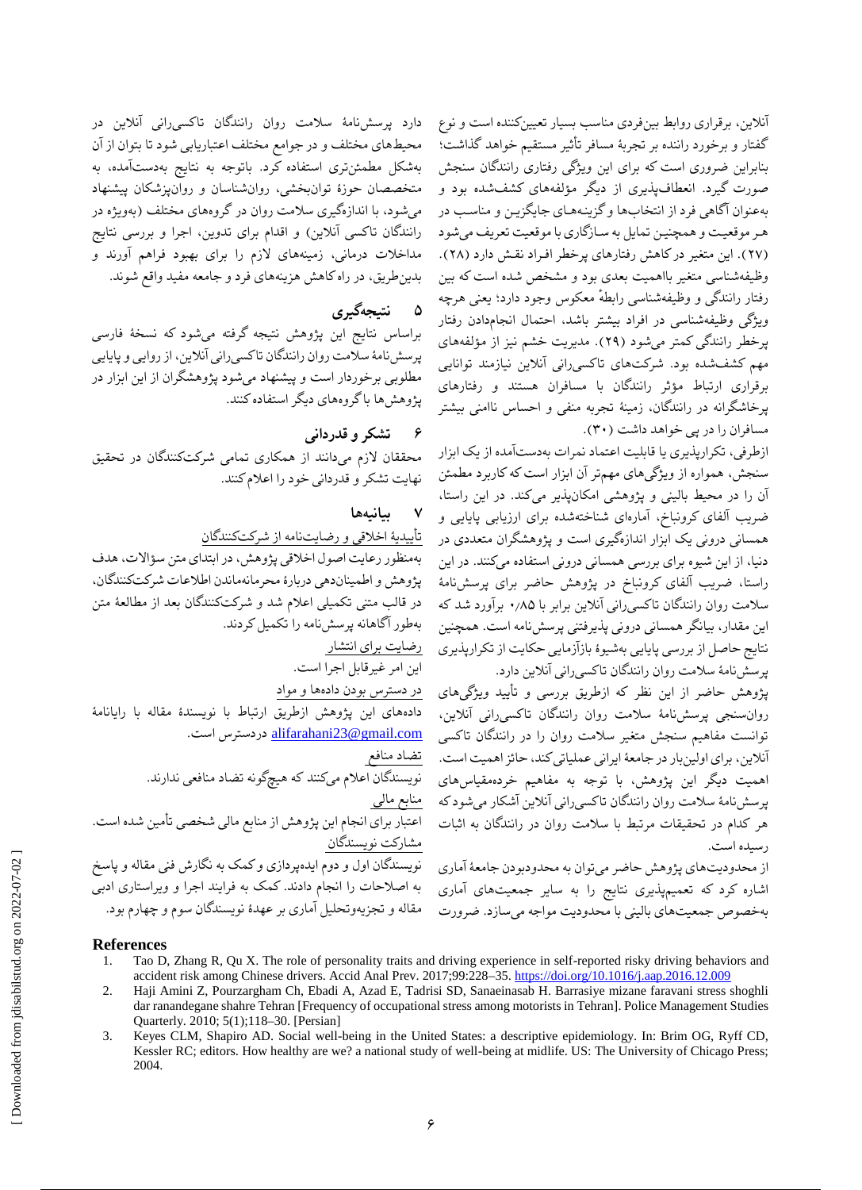آنالین، برقراری روابط بینفردی مناسب بسیار تعیینکننده است و نوع گفتار و برخورد راننده بر تجربٔه مسافر تأثیر مستقیم خواهد گذاشت؛ بنابراین ضروری است که برای این ویژگی رفتاری رانندگان سنجش صورت گیرد. انعطافپذیری از دیگر مؤلفههای کشفشده بود و بهعنوان آگاهی فرد از انتخابها و گزینـههـای جایگزیـن و مناسـب در هـر موقعیـت و همچنیـن تمایل به سـازگاری با موقعیت تعریف میشود )۲۷(. این متغیر در کاهش رفتارهای پرخطر افـراد نقـش دارد )۲۸(. وظیفهشناسی متغیر بااهمیت بعدی بود و مشخص شده است که بین رفتار رانندگی و وظیفهشناسی رابطه معکوس وجود دارد؛ یعنی هرچه ویژگی وظیفهشناسی در افراد بیشتر باشد، احتمال انجامدادن رفتار پرخطر رانندگی کمتر میشود )۲۹(. مدیریت خشم نیز از مؤلفههای مهم کشفشده بود. شرکتهای تاکسیرانی آنالین نیازمند توانایی برقراری ارتباط مؤثر رانندگان با مسافران هستند و رفتارهای پرخاشگرانه در رانندگان، زمینٔه تجربه منفی و احساس ناامنی بیشتر مسافران را در پی خواهد داشت )۳۰(.

ازطرفی، تکرارپذیری یا قابلیت اعتماد نمرات بهدستآمده از یک ابزار سنجش، همواره از ویژگیهای مهمتر آن ابزار است که کاربرد مطمئن آن را در محیط بالینی و پژوهشی امکانپذیر میکند. در این راستا، ضریب آلفای کرونباخ، آمارهای شناختهشده برای ارزیابی پایایی و همسانی درونی یک ابزار اندازهگیری است و پژوهشگران متعددی در دنیا، از این شیوه برای بررسی همسانی درونی استفاده میکنند. در این راستا، ضریب آلفای کرونباخ در پژوهش حاضر برای پرسشنامٔه سالمت روان رانندگان تاکسیرانی آنالین برابر با ۰٫۸۵ برآورد شد که این مقدار، بیانگر همسانی درونی پذیرفتنی پرسشنامه است. همچنین نتایج حاصل از بررسی پایایی بهشیؤه بازآزمایی حکایت از تکرارپذیری پرسشنامٔه سالمت روان رانندگان تاکسیرانی آنالین دارد.

پژوهش حاضر از این نظر که ازطریق بررسی و تأیید ویژگیهای روانسنجی پرسشنامٔه سالمت روان رانندگان تاکسیرانی آنالین، توانست مفاهیم سنجش متغیر سالمت روان را در رانندگان تاکسی آنالین، برای اولینبار در جامعٔه ایرانی عملیاتی کند، حائز اهمیت است. اهمیت دیگر این پژوهش، با توجه به مفاهیم خردهمقیاسهای پرسشنامٔه سالمت روان رانندگان تاکسیرانی آنالین آشکار میشود که هر کدام در تحقیقات مرتبط با سالمت روان در رانندگان به اثبات رسیده است.

از محدودیتهای پژوهش حاضر میتوان به محدودبودن جامعٔه آماری اشاره کرد که تعمیمپذیری نتایج را به سایر جمعیتهای آماری بهخصوص جمعیتهای بالینی با محدودیت مواجه میسازد. ضرورت

دارد پرسشنامٔه سالمت روان رانندگان تاکسیرانی آنالین در محیطهای مختلف و در جوامع مختلف اعتباریابی شود تا بتوان از آن بهشکل مطمئنتری استفاده کرد. باتوجه به نتایج بهدستآمده، به متخصصان حوزٔه توانبخشی، روانشناسان و روانپزشکان پیشنهاد میشود، با اندازهگیری سالمت روان در گروههای مختلف )بهویژه در رانندگان تاکسی آنلاین) و اقدام برای تدوین، اجرا و بررسی نتایج مداخالت درمانی، زمینههای الزم را برای بهبود فراهم آورند و بدینطریق، در راه کاهش هزینههای فرد و جامعه مفید واقع شوند.

## **۵ نتیجهگیری**

براساس نتایج این پژوهش نتیجه گرفته میشود که نسخٔه فارسی پرسشنامٔه سالمت روان رانندگان تاکسیرانی آنالین، از روایی و پایایی مطلوبی برخوردار است و پیشنهاد میشود پژوهشگران از این ابزار در پژوهشها با گروههای دیگر استفاده کنند.

### **6 تشکر و قدردانی**

محققان الزم میدانند از همکاری تمامی شرکتکنندگان در تحقیق نهایت تشکر و قدردانی خود را اعالم کنند.

#### **۷ بیانیهها**

تأییدیٔه اخالقی و رضایتنامه از شرکتکنندگان

بهمنظور رعایت اصول اخالقی پژوهش، در ابتدای متن سؤاالت، هدف پژوهش و اطمیناندهی دربارٔه محرمانهماندن اطالعات شرکتکنندگان، در قالب متنی تکمیلی اعالم شد و شرکتکنندگان بعد از مطالعٔه متن بهطور آگاهانه پرسشنامه را تکمیل کردند.

# رضایت برای انتشار

این امر غیرقابل اجرا است. در دسترس بودن دادهها و مواد

دادههای این پژوهش ازطریق ارتباط با نویسندٔه مقاله با رایانامٔه .است دردسترس [alifarahani23@gmail.com](mailto:alifarahani23@gmail.com)

تضاد منافع نویسندگان اعالم میکنند که هیچگونه تضاد منافعی ندارند. منابع مالی اعتبار برای انجام این پژوهش از منابع مالی شخصی تأمین شده است. مشارکت نویسندگان نویسندگان اول و دوم ایدهپردازی و کمک به نگارش فنی مقاله و پاسخ به اصالحات را انجام دادند. کمک به فرایند اجرا و ویراستاری ادبی مقاله و تجزیهوتحلیل آماری بر عهدٔه نویسندگان سوم و چهارم بود.

#### **References**

- 1. Tao D, Zhang R, Qu X. The role of personality traits and driving experience in self-reported risky driving behaviors and accident risk among Chinese drivers. Accid Anal Prev. 2017;99:228–35.<https://doi.org/10.1016/j.aap.2016.12.009>
- 2. Haji Amini Z, Pourzargham Ch, Ebadi A, Azad E, Tadrisi SD, Sanaeinasab H. Barrasiye mizane faravani stress shoghli dar ranandegane shahre Tehran [Frequency of occupational stress among motorists in Tehran]. Police Management Studies Quarterly. 2010; 5(1);118–30. [Persian]
- 3. Keyes CLM, Shapiro AD. Social well-being in the United States: a descriptive epidemiology. In: Brim OG, Ryff CD, Kessler RC; editors. How healthy are we? a national study of well-being at midlife. US: The University of Chicago Press; 2004.